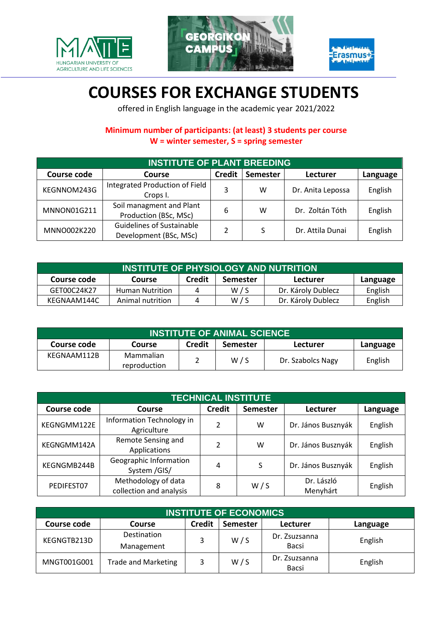





## **COURSES FOR EXCHANGE STUDENTS**

offered in English language in the academic year 2021/2022

## **Minimum number of participants: (at least) 3 students per course W = winter semester, S = spring semester**

| <b>INSTITUTE OF PLANT BREEDING</b>  |                                                            |               |                 |                   |          |  |  |
|-------------------------------------|------------------------------------------------------------|---------------|-----------------|-------------------|----------|--|--|
| <b>Course code</b><br><b>Course</b> |                                                            | <b>Credit</b> | <b>Semester</b> | Lecturer          | Language |  |  |
| KEGNNOM243G                         | Integrated Production of Field<br>Crops I.                 | 3             | w               | Dr. Anita Lepossa | English  |  |  |
| MNNON01G211                         | Soil managment and Plant<br>Production (BSc, MSc)          | 6             | w               | Dr. Zoltán Tóth   | English  |  |  |
| MNNO002K220                         | <b>Guidelines of Sustainable</b><br>Development (BSc, MSc) |               |                 | Dr. Attila Dunai  | English  |  |  |

| <b>INSTITUTE OF PHYSIOLOGY AND NUTRITION</b>                                      |                        |   |     |                    |         |  |  |
|-----------------------------------------------------------------------------------|------------------------|---|-----|--------------------|---------|--|--|
| <b>Credit</b><br>Course code<br>Semester<br>Lecturer<br><b>Course</b><br>Language |                        |   |     |                    |         |  |  |
| GET00C24K27                                                                       | <b>Human Nutrition</b> | 4 | W/S | Dr. Károly Dublecz | English |  |  |
| KEGNAAM144C                                                                       | Animal nutrition       | 4 | W/S | Dr. Károly Dublecz | English |  |  |

| <b>INSTITUTE OF ANIMAL SCIENCE</b>                                                       |                           |  |     |                   |         |  |  |
|------------------------------------------------------------------------------------------|---------------------------|--|-----|-------------------|---------|--|--|
| <b>Credit</b><br><b>Semester</b><br>Course code<br>Lecturer<br><b>Course</b><br>Language |                           |  |     |                   |         |  |  |
| KEGNAAM112B                                                                              | Mammalian<br>reproduction |  | W/S | Dr. Szabolcs Nagy | English |  |  |

| <b>TECHNICAL INSTITUTE</b> |                                                |                                  |     |                        |          |  |  |
|----------------------------|------------------------------------------------|----------------------------------|-----|------------------------|----------|--|--|
| <b>Course code</b>         | <b>Course</b>                                  | <b>Credit</b><br><b>Semester</b> |     | Lecturer               | Language |  |  |
| KEGNGMM122E                | Information Technology in<br>Agriculture       | $\mathfrak{p}$                   | w   | Dr. János Busznyák     | English  |  |  |
| KEGNGMM142A                | Remote Sensing and<br>Applications             | $\overline{2}$                   | w   | Dr. János Busznyák     | English  |  |  |
| KEGNGMB244B                | Geographic Information<br>System /GIS/         | 4                                | S   | Dr. János Busznyák     | English  |  |  |
| PEDIFEST07                 | Methodology of data<br>collection and analysis | 8                                | W/S | Dr. László<br>Menyhárt | English  |  |  |

| <b>INSTITUTE OF ECONOMICS</b> |                            |               |                 |                               |          |  |  |
|-------------------------------|----------------------------|---------------|-----------------|-------------------------------|----------|--|--|
| Course code                   | Course                     | <b>Credit</b> | <b>Semester</b> | Lecturer                      | Language |  |  |
| KEGNGTB213D                   | Destination<br>Management  |               | W/S             | Dr. Zsuzsanna<br>Bacsi        | English  |  |  |
| MNGT001G001                   | <b>Trade and Marketing</b> |               | W/S             | Dr. Zsuzsanna<br><b>Bacsi</b> | English  |  |  |